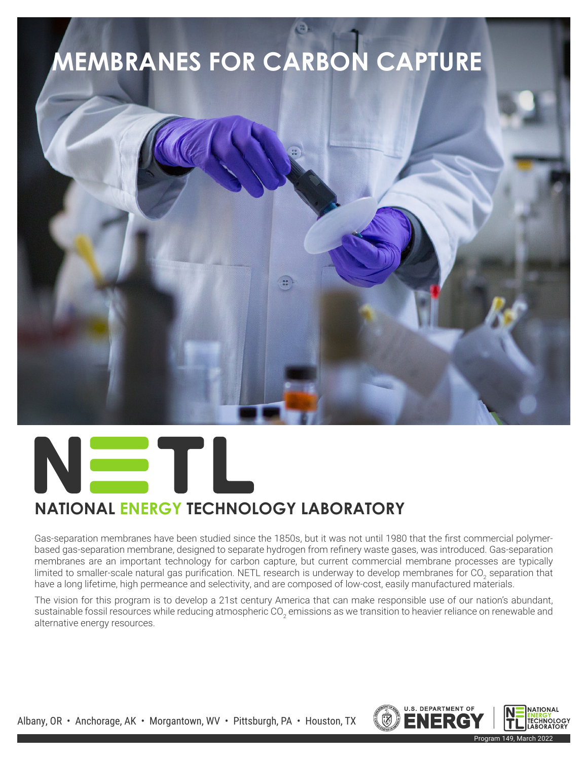# **MEMBRANES FOR CARBON CAPTURE**





## **NATIONAL ENERGY TECHNOLOGY LABORATORY**

Gas-separation membranes have been studied since the 1850s, but it was not until 1980 that the first commercial polymerbased gas-separation membrane, designed to separate hydrogen from refinery waste gases, was introduced. Gas-separation membranes are an important technology for carbon capture, but current commercial membrane processes are typically limited to smaller-scale natural gas purification. NETL research is underway to develop membranes for CO<sub>2</sub> separation that have a long lifetime, high permeance and selectivity, and are composed of low-cost, easily manufactured materials.

The vision for this program is to develop a 21st century America that can make responsible use of our nation's abundant, sustainable fossil resources while reducing atmospheric CO<sub>2</sub> emissions as we transition to heavier reliance on renewable and alternative energy resources.